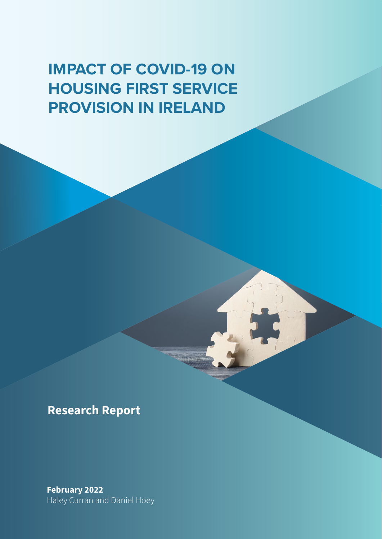### **IMPACT OF COVID-19 ON HOUSING FIRST SERVICE PROVISION IN IRELAND**

**Research Report** 

February 2022 Haley Curran and Daniel Hoey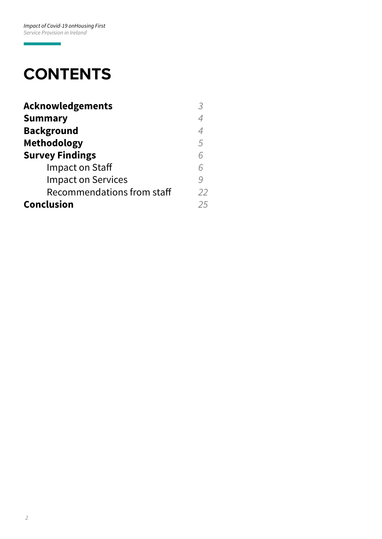ī

### **CONTENTS**

| <b>Acknowledgements</b>    |    |
|----------------------------|----|
| <b>Summary</b>             | 4  |
| <b>Background</b>          | 4  |
| <b>Methodology</b>         | 5  |
| <b>Survey Findings</b>     | 6  |
| Impact on Staff            | 6  |
| <b>Impact on Services</b>  |    |
| Recommendations from staff | 22 |
| <b>Conclusion</b>          | 25 |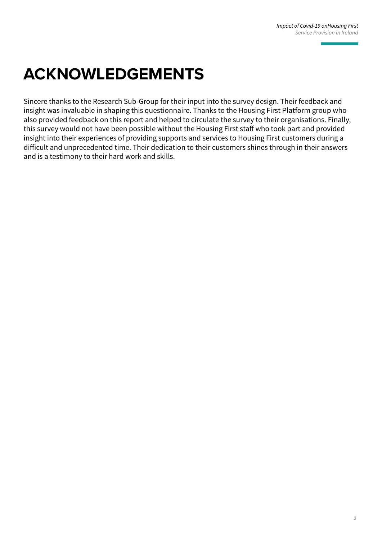## **ACKNOWLEDGEMENTS**

Sincere thanks to the Research Sub-Group for their input into the survey design. Their feedback and insight was invaluable in shaping this questionnaire. Thanks to the Housing First Platform group who also provided feedback on this report and helped to circulate the survey to their organisations. Finally, this survey would not have been possible without the Housing First staff who took part and provided insight into their experiences of providing supports and services to Housing First customers during a difficult and unprecedented time. Their dedication to their customers shines through in their answers and is a testimony to their hard work and skills.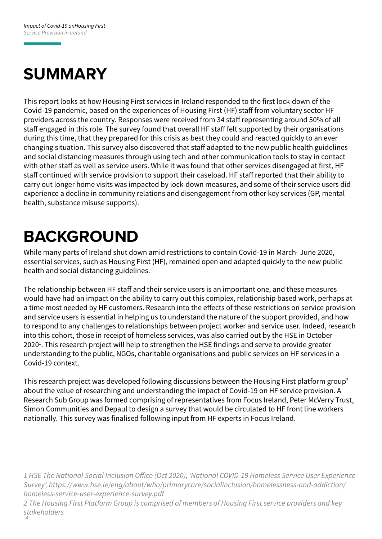# **SUMMARY**

This report looks at how Housing First services in Ireland responded to the first lock-down of the Covid-19 pandemic, based on the experiences of Housing First (HF) staff from voluntary sector HF providers across the country. Responses were received from 34 staff representing around 50% of all staff engaged in this role. The survey found that overall HF staff felt supported by their organisations during this time, that they prepared for this crisis as best they could and reacted quickly to an ever changing situation. This survey also discovered that staff adapted to the new public health guidelines and social distancing measures through using tech and other communication tools to stay in contact with other staff as well as service users. While it was found that other services disengaged at first, HF staff continued with service provision to support their caseload. HF staff reported that their ability to carry out longer home visits was impacted by lock-down measures, and some of their service users did experience a decline in community relations and disengagement from other key services (GP, mental health, substance misuse supports).

## **BACKGROUND**

While many parts of Ireland shut down amid restrictions to contain Covid-19 in March- June 2020, essential services, such as Housing First (HF), remained open and adapted quickly to the new public health and social distancing guidelines.

The relationship between HF staff and their service users is an important one, and these measures would have had an impact on the ability to carry out this complex, relationship based work, perhaps at a time most needed by HF customers. Research into the effects of these restrictions on service provision and service users is essential in helping us to understand the nature of the support provided, and how to respond to any challenges to relationships between project worker and service user. Indeed, research into this cohort, those in receipt of homeless services, was also carried out by the HSE in October 2020<sup>1</sup>. This research project will help to strengthen the HSE findings and serve to provide greater understanding to the public, NGOs, charitable organisations and public services on HF services in a Covid-19 context.

This research project was developed following discussions between the Housing First platform group2 about the value of researching and understanding the impact of Covid-19 on HF service provision. A Research Sub Group was formed comprising of representatives from Focus Ireland, Peter McVerry Trust, Simon Communities and Depaul to design a survey that would be circulated to HF front line workers nationally. This survey was finalised following input from HF experts in Focus Ireland.

*1 HSE The National Social Inclusion Office (Oct 2020), 'National COVID-19 Homeless Service User Experience Survey', https://www.hse.ie/eng/about/who/primarycare/socialinclusion/homelessness-and-addiction/ homeless-service-user-experience-survey.pdf*

*4 2 The Housing First Platform Group is comprised of members of Housing First service providers and key stakeholders*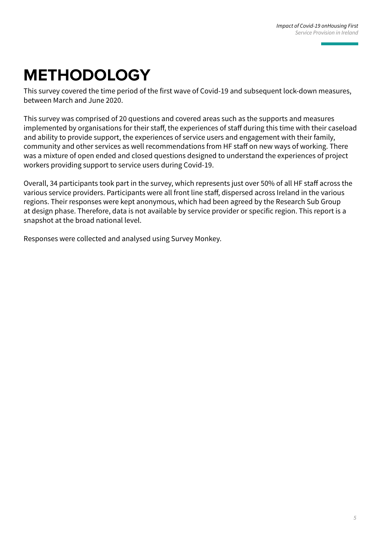## **METHODOLOGY**

This survey covered the time period of the first wave of Covid-19 and subsequent lock-down measures, between March and June 2020.

This survey was comprised of 20 questions and covered areas such as the supports and measures implemented by organisations for their staff, the experiences of staff during this time with their caseload and ability to provide support, the experiences of service users and engagement with their family, community and other services as well recommendations from HF staff on new ways of working. There was a mixture of open ended and closed questions designed to understand the experiences of project workers providing support to service users during Covid-19.

Overall, 34 participants took part in the survey, which represents just over 50% of all HF staff across the various service providers. Participants were all front line staff, dispersed across Ireland in the various regions. Their responses were kept anonymous, which had been agreed by the Research Sub Group at design phase. Therefore, data is not available by service provider or specific region. This report is a snapshot at the broad national level.

Responses were collected and analysed using Survey Monkey.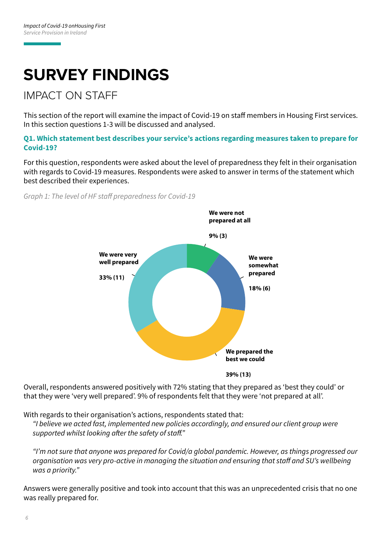# **SURVEY FINDINGS**

### IMPACT ON STAFF

This section of the report will examine the impact of Covid-19 on staff members in Housing First services. In this section questions 1-3 will be discussed and analysed.

**Q1. Which statement best describes your service's actions regarding measures taken to prepare for Covid-19?**

For this question, respondents were asked about the level of preparedness they felt in their organisation with regards to Covid-19 measures. Respondents were asked to answer in terms of the statement which best described their experiences.

*Graph 1: The level of HF staff preparedness for Covid-19*



Overall, respondents answered positively with 72% stating that they prepared as 'best they could' or that they were 'very well prepared'. 9% of respondents felt that they were 'not prepared at all'.

With regards to their organisation's actions, respondents stated that:

*"I believe we acted fast, implemented new policies accordingly, and ensured our client group were supported whilst looking after the safety of staff."*

*"I'm not sure that anyone was prepared for Covid/a global pandemic. However, as things progressed our organisation was very pro-active in managing the situation and ensuring that staff and SU's wellbeing was a priority."*

Answers were generally positive and took into account that this was an unprecedented crisis that no one was really prepared for.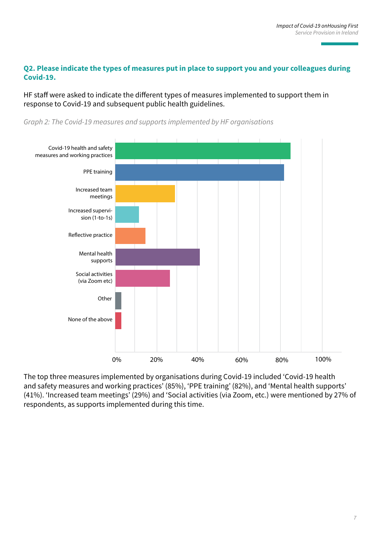#### **Q2. Please indicate the types of measures put in place to support you and your colleagues during Covid-19.**

HF staff were asked to indicate the different types of measures implemented to support them in response to Covid-19 and subsequent public health guidelines.



*Graph 2: The Covid-19 measures and supports implemented by HF organisations*

The top three measures implemented by organisations during Covid-19 included 'Covid-19 health and safety measures and working practices' (85%), 'PPE training' (82%), and 'Mental health supports' (41%). 'Increased team meetings' (29%) and 'Social activities (via Zoom, etc.) were mentioned by 27% of respondents, as supports implemented during this time.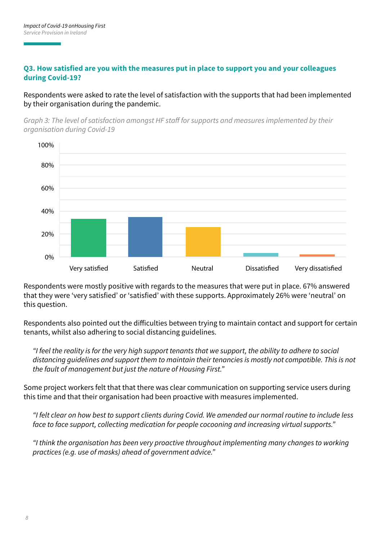#### **Q3. How satisfied are you with the measures put in place to support you and your colleagues during Covid-19?**

Respondents were asked to rate the level of satisfaction with the supports that had been implemented by their organisation during the pandemic.

*Graph 3: The level of satisfaction amongst HF staff for supports and measures implemented by their organisation during Covid-19*



Respondents were mostly positive with regards to the measures that were put in place. 67% answered that they were 'very satisfied' or 'satisfied' with these supports. Approximately 26% were 'neutral' on this question.

Respondents also pointed out the difficulties between trying to maintain contact and support for certain tenants, whilst also adhering to social distancing guidelines.

*"I feel the reality is for the very high support tenants that we support, the ability to adhere to social distancing guidelines and support them to maintain their tenancies is mostly not compatible. This is not the fault of management but just the nature of Housing First."*

Some project workers felt that that there was clear communication on supporting service users during this time and that their organisation had been proactive with measures implemented.

*"I felt clear on how best to support clients during Covid. We amended our normal routine to include less face to face support, collecting medication for people cocooning and increasing virtual supports."*

*"I think the organisation has been very proactive throughout implementing many changes to working practices (e.g. use of masks) ahead of government advice."*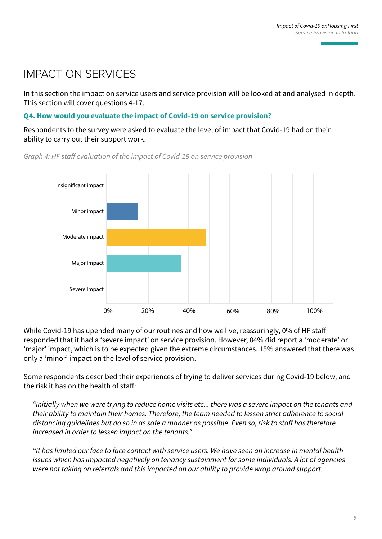### IMPACT ON SERVICES

In this section the impact on service users and service provision will be looked at and analysed in depth. This section will cover questions 4-17.

#### **Q4. How would you evaluate the impact of Covid-19 on service provision?**

Respondents to the survey were asked to evaluate the level of impact that Covid-19 had on their ability to carry out their support work.



*Graph 4: HF staff evaluation of the impact of Covid-19 on service provision*

While Covid-19 has upended many of our routines and how we live, reassuringly, 0% of HF staff responded that it had a 'severe impact' on service provision. However, 84% did report a 'moderate' or 'major' impact, which is to be expected given the extreme circumstances. 15% answered that there was only a 'minor' impact on the level of service provision.

Some respondents described their experiences of trying to deliver services during Covid-19 below, and the risk it has on the health of staff:

*"Initially when we were trying to reduce home visits etc... there was a severe impact on the tenants and their ability to maintain their homes. Therefore, the team needed to lessen strict adherence to social distancing guidelines but do so in as safe a manner as possible. Even so, risk to staff has therefore increased in order to lessen impact on the tenants."*

*"It has limited our face to face contact with service users. We have seen an increase in mental health issues which has impacted negatively on tenancy sustainment for some individuals. A lot of agencies were not taking on referrals and this impacted on our ability to provide wrap around support.*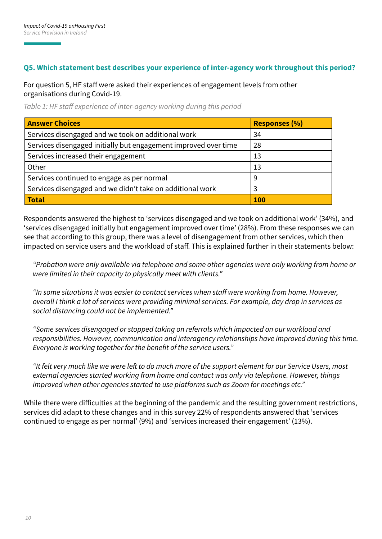#### **Q5. Which statement best describes your experience of inter-agency work throughout this period?**

For question 5, HF staff were asked their experiences of engagement levels from other organisations during Covid-19.

|  | Table 1: HF staff experience of inter-agency working during this period |  |
|--|-------------------------------------------------------------------------|--|
|--|-------------------------------------------------------------------------|--|

| <b>Answer Choices</b>                                           | <b>Responses (%)</b> |
|-----------------------------------------------------------------|----------------------|
| Services disengaged and we took on additional work              | 34                   |
| Services disengaged initially but engagement improved over time | 28                   |
| Services increased their engagement                             | 13                   |
| Other                                                           | 13                   |
| Services continued to engage as per normal                      | 9                    |
| Services disengaged and we didn't take on additional work       | 3                    |
| Total                                                           | <b>100</b>           |

Respondents answered the highest to 'services disengaged and we took on additional work' (34%), and 'services disengaged initially but engagement improved over time' (28%). From these responses we can see that according to this group, there was a level of disengagement from other services, which then impacted on service users and the workload of staff. This is explained further in their statements below:

*"Probation were only available via telephone and some other agencies were only working from home or were limited in their capacity to physically meet with clients."*

*"In some situations it was easier to contact services when staff were working from home. However, overall I think a lot of services were providing minimal services. For example, day drop in services as social distancing could not be implemented."*

*"Some services disengaged or stopped taking on referrals which impacted on our workload and responsibilities. However, communication and interagency relationships have improved during this time. Everyone is working together for the benefit of the service users."*

*"It felt very much like we were left to do much more of the support element for our Service Users, most external agencies started working from home and contact was only via telephone. However, things improved when other agencies started to use platforms such as Zoom for meetings etc."*

While there were difficulties at the beginning of the pandemic and the resulting government restrictions, services did adapt to these changes and in this survey 22% of respondents answered that 'services continued to engage as per normal' (9%) and 'services increased their engagement' (13%).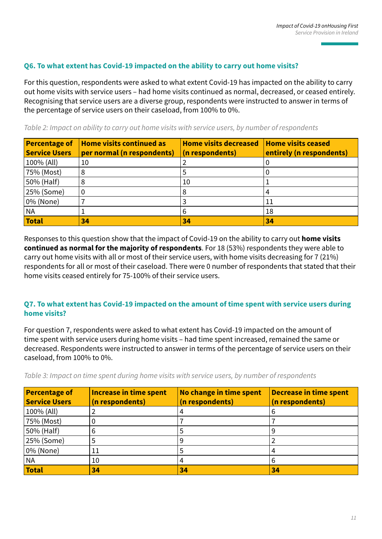#### **Q6. To what extent has Covid-19 impacted on the ability to carry out home visits?**

For this question, respondents were asked to what extent Covid-19 has impacted on the ability to carry out home visits with service users – had home visits continued as normal, decreased, or ceased entirely. Recognising that service users are a diverse group, respondents were instructed to answer in terms of the percentage of service users on their caseload, from 100% to 0%.

*Table 2: Impact on ability to carry out home visits with service users, by number of respondents*

| <b>Percentage of</b><br><b>Service Users</b> | <b>Home visits continued as</b><br>per normal (n respondents) | <b>Home visits decreased</b><br>(n respondents) | <b>Home visits ceased</b><br>entirely (n respondents) |
|----------------------------------------------|---------------------------------------------------------------|-------------------------------------------------|-------------------------------------------------------|
| 100% (All)                                   | 10                                                            |                                                 |                                                       |
| 75% (Most)                                   | 8                                                             |                                                 | U                                                     |
| 50% (Half)                                   |                                                               | 10                                              |                                                       |
| 25% (Some)                                   |                                                               | 8                                               |                                                       |
| 0% (None)                                    |                                                               |                                                 | 11                                                    |
| <b>NA</b>                                    |                                                               | 6                                               | 18                                                    |
| <b>Total</b>                                 | 34                                                            | 34                                              | 34                                                    |

Responses to this question show that the impact of Covid-19 on the ability to carry out **home visits continued as normal for the majority of respondents**. For 18 (53%) respondents they were able to carry out home visits with all or most of their service users, with home visits decreasing for 7 (21%) respondents for all or most of their caseload. There were 0 number of respondents that stated that their home visits ceased entirely for 75-100% of their service users.

#### **Q7. To what extent has Covid-19 impacted on the amount of time spent with service users during home visits?**

For question 7, respondents were asked to what extent has Covid-19 impacted on the amount of time spent with service users during home visits – had time spent increased, remained the same or decreased. Respondents were instructed to answer in terms of the percentage of service users on their caseload, from 100% to 0%.

| <b>Percentage of</b><br><b>Service Users</b> | <b>Increase in time spent</b><br>(n respondents) | No change in time spent<br>(n respondents) | <b>Decrease in time spent</b><br>(n respondents) |
|----------------------------------------------|--------------------------------------------------|--------------------------------------------|--------------------------------------------------|
| 100% (All)                                   |                                                  |                                            | b                                                |
| 75% (Most)                                   |                                                  |                                            |                                                  |
| 50% (Half)                                   | 6                                                |                                            | 9                                                |
| 25% (Some)                                   |                                                  |                                            |                                                  |
| 0% (None)                                    | ŢΤ                                               |                                            |                                                  |
| <b>NA</b>                                    | 10                                               |                                            | 6                                                |
| <b>Total</b>                                 | 34                                               | 34                                         | 34                                               |

*Table 3: Impact on time spent during home visits with service users, by number of respondents*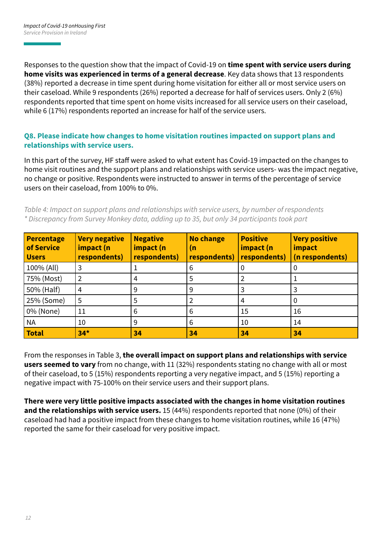Responses to the question show that the impact of Covid-19 on **time spent with service users during home visits was experienced in terms of a general decrease**. Key data shows that 13 respondents (38%) reported a decrease in time spent during home visitation for either all or most service users on their caseload. While 9 respondents (26%) reported a decrease for half of services users. Only 2 (6%) respondents reported that time spent on home visits increased for all service users on their caseload, while 6 (17%) respondents reported an increase for half of the service users.

#### **Q8. Please indicate how changes to home visitation routines impacted on support plans and relationships with service users.**

In this part of the survey, HF staff were asked to what extent has Covid-19 impacted on the changes to home visit routines and the support plans and relationships with service users- was the impact negative, no change or positive. Respondents were instructed to answer in terms of the percentage of service users on their caseload, from 100% to 0%.

*Table 4: Impact on support plans and relationships with service users, by number of respondents \* Discrepancy from Survey Monkey data, adding up to 35, but only 34 participants took part*

| <b>Percentage</b><br>of Service<br><b>Users</b> | <b>Very negative</b><br>impact (n<br>respondents) | <b>Negative</b><br>impact (n<br>respondents) | <b>No change</b><br>(n<br>respondents) | <b>Positive</b><br>impact (n<br>respondents) | <b>Very positive</b><br>impact<br>(n respondents) |
|-------------------------------------------------|---------------------------------------------------|----------------------------------------------|----------------------------------------|----------------------------------------------|---------------------------------------------------|
| 100% (All)                                      | 3                                                 |                                              | 6                                      |                                              |                                                   |
| 75% (Most)                                      | $\overline{2}$                                    | 4                                            | 5                                      |                                              |                                                   |
| 50% (Half)                                      | 4                                                 | 9                                            | 9                                      |                                              |                                                   |
| 25% (Some)                                      | 5                                                 | 5                                            |                                        |                                              |                                                   |
| 0% (None)                                       | 11                                                | 6                                            | 6                                      | 15                                           | 16                                                |
| <b>NA</b>                                       | 10                                                | 9                                            | 6                                      | 10                                           | 14                                                |
| <b>Total</b>                                    | $34*$                                             | 34                                           | 34                                     | 34                                           | 34                                                |

From the responses in Table 3, **the overall impact on support plans and relationships with service users seemed to vary** from no change, with 11 (32%) respondents stating no change with all or most of their caseload, to 5 (15%) respondents reporting a very negative impact, and 5 (15%) reporting a negative impact with 75-100% on their service users and their support plans.

**There were very little positive impacts associated with the changes in home visitation routines and the relationships with service users.** 15 (44%) respondents reported that none (0%) of their caseload had had a positive impact from these changes to home visitation routines, while 16 (47%) reported the same for their caseload for very positive impact.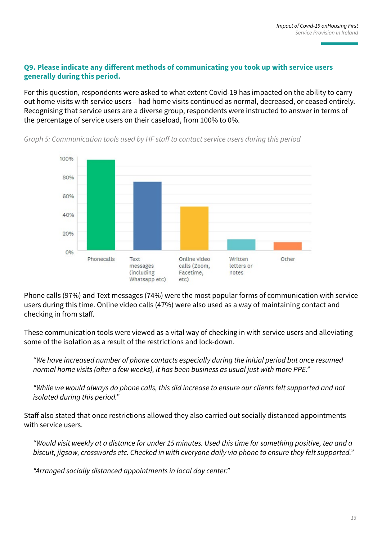#### **Q9. Please indicate any different methods of communicating you took up with service users generally during this period.**

For this question, respondents were asked to what extent Covid-19 has impacted on the ability to carry out home visits with service users – had home visits continued as normal, decreased, or ceased entirely. Recognising that service users are a diverse group, respondents were instructed to answer in terms of the percentage of service users on their caseload, from 100% to 0%.



*Graph 5: Communication tools used by HF staff to contact service users during this period*

Phone calls (97%) and Text messages (74%) were the most popular forms of communication with service users during this time. Online video calls (47%) were also used as a way of maintaining contact and checking in from staff.

These communication tools were viewed as a vital way of checking in with service users and alleviating some of the isolation as a result of the restrictions and lock-down.

*"We have increased number of phone contacts especially during the initial period but once resumed normal home visits (after a few weeks), it has been business as usual just with more PPE."*

*"While we would always do phone calls, this did increase to ensure our clients felt supported and not isolated during this period."*

Staff also stated that once restrictions allowed they also carried out socially distanced appointments with service users.

*"Would visit weekly at a distance for under 15 minutes. Used this time for something positive, tea and a biscuit, jigsaw, crosswords etc. Checked in with everyone daily via phone to ensure they felt supported."*

*"Arranged socially distanced appointments in local day center."*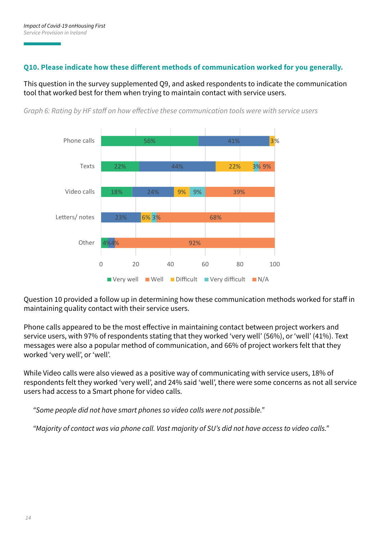#### **Q10. Please indicate how these different methods of communication worked for you generally.**

This question in the survey supplemented Q9, and asked respondents to indicate the communication tool that worked best for them when trying to maintain contact with service users.



*Graph 6: Rating by HF staff on how effective these communication tools were with service users*

Question 10 provided a follow up in determining how these communication methods worked for staff in maintaining quality contact with their service users.

Phone calls appeared to be the most effective in maintaining contact between project workers and service users, with 97% of respondents stating that they worked 'very well' (56%), or 'well' (41%). Text messages were also a popular method of communication, and 66% of project workers felt that they worked 'very well', or 'well'.

While Video calls were also viewed as a positive way of communicating with service users, 18% of respondents felt they worked 'very well', and 24% said 'well', there were some concerns as not all service users had access to a Smart phone for video calls.

*"Some people did not have smart phones so video calls were not possible."*

*"Majority of contact was via phone call. Vast majority of SU's did not have access to video calls."*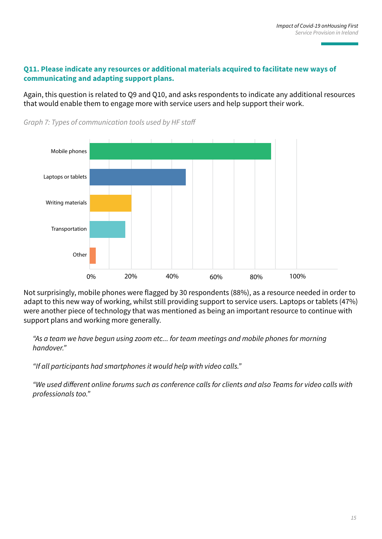#### **Q11. Please indicate any resources or additional materials acquired to facilitate new ways of communicating and adapting support plans.**

Again, this question is related to Q9 and Q10, and asks respondents to indicate any additional resources that would enable them to engage more with service users and help support their work.



*Graph 7: Types of communication tools used by HF staff*

Not surprisingly, mobile phones were flagged by 30 respondents (88%), as a resource needed in order to adapt to this new way of working, whilst still providing support to service users. Laptops or tablets (47%) were another piece of technology that was mentioned as being an important resource to continue with support plans and working more generally.

*"As a team we have begun using zoom etc... for team meetings and mobile phones for morning handover."*

*"If all participants had smartphones it would help with video calls."*

*"We used different online forums such as conference calls for clients and also Teams for video calls with professionals too."*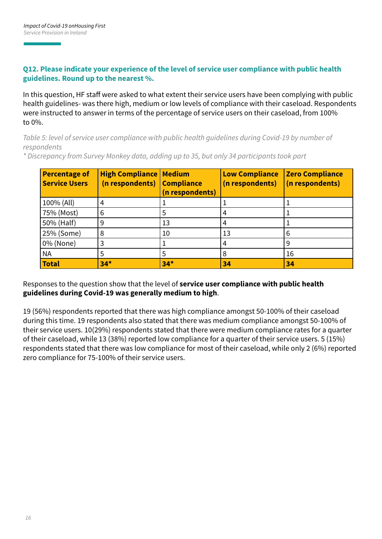#### **Q12. Please indicate your experience of the level of service user compliance with public health guidelines. Round up to the nearest %.**

In this question, HF staff were asked to what extent their service users have been complying with public health guidelines- was there high, medium or low levels of compliance with their caseload. Respondents were instructed to answer in terms of the percentage of service users on their caseload, from 100% to 0%.

*Table 5: level of service user compliance with public health guidelines during Covid-19 by number of respondents*

*\* Discrepancy from Survey Monkey data, adding up to 35, but only 34 participants took part*

| <b>Percentage of</b><br><b>Service Users</b> | <b>High Compliance   Medium</b><br>(n respondents) | <b>Compliance</b><br>(n respondents) | <b>Low Compliance</b><br>(n respondents) | <b>Zero Compliance</b><br>(n respondents) |
|----------------------------------------------|----------------------------------------------------|--------------------------------------|------------------------------------------|-------------------------------------------|
| 100% (All)                                   | 4                                                  |                                      |                                          |                                           |
| 75% (Most)                                   | 6                                                  | 5                                    | 4                                        |                                           |
| 50% (Half)                                   | 9                                                  | 13                                   | 4                                        |                                           |
| 25% (Some)                                   | 8                                                  | 10                                   | 13                                       | 6                                         |
| 0% (None)                                    | 3                                                  |                                      | 4                                        | 9                                         |
| <b>NA</b>                                    | 5                                                  | 5                                    | 8                                        | 16                                        |
| <b>Total</b>                                 | $34*$                                              | $34*$                                | 34                                       | 34                                        |

#### Responses to the question show that the level of **service user compliance with public health guidelines during Covid-19 was generally medium to high**.

19 (56%) respondents reported that there was high compliance amongst 50-100% of their caseload during this time. 19 respondents also stated that there was medium compliance amongst 50-100% of their service users. 10(29%) respondents stated that there were medium compliance rates for a quarter of their caseload, while 13 (38%) reported low compliance for a quarter of their service users. 5 (15%) respondents stated that there was low compliance for most of their caseload, while only 2 (6%) reported zero compliance for 75-100% of their service users.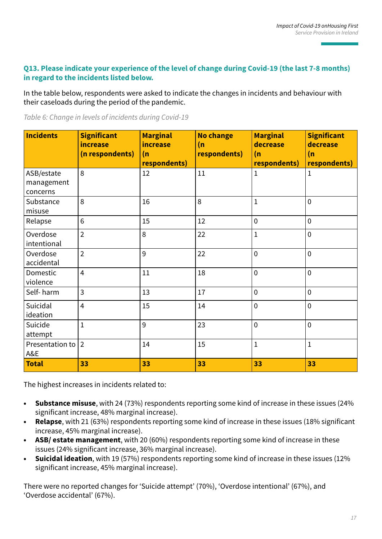#### **Q13. Please indicate your experience of the level of change during Covid-19 (the last 7-8 months) in regard to the incidents listed below.**

In the table below, respondents were asked to indicate the changes in incidents and behaviour with their caseloads during the period of the pandemic.

|  | Table 6: Change in levels of incidents during Covid-19 |
|--|--------------------------------------------------------|
|  |                                                        |

| <b>Incidents</b>                     | <b>Significant</b><br>increase<br>(n respondents) | <b>Marginal</b><br>increase<br>(n)<br>respondents) | <b>No change</b><br>(n)<br>respondents) | <b>Marginal</b><br>decrease<br>(n)<br>respondents) | <b>Significant</b><br>decrease<br>(n)<br>respondents) |
|--------------------------------------|---------------------------------------------------|----------------------------------------------------|-----------------------------------------|----------------------------------------------------|-------------------------------------------------------|
| ASB/estate<br>management<br>concerns | 8                                                 | 12                                                 | 11                                      | $\mathbf{1}$                                       | $\mathbf 1$                                           |
| Substance<br>misuse                  | 8                                                 | 16                                                 | 8                                       | $\mathbf{1}$                                       | $\overline{0}$                                        |
| Relapse                              | 6                                                 | 15                                                 | 12                                      | $\mathbf 0$                                        | $\mathbf 0$                                           |
| Overdose<br>intentional              | $\overline{2}$                                    | 8                                                  | 22                                      | $\mathbf{1}$                                       | $\overline{0}$                                        |
| Overdose<br>accidental               | $\overline{2}$                                    | 9                                                  | 22                                      | $\mathbf 0$                                        | $\mathbf 0$                                           |
| Domestic<br>violence                 | $\overline{4}$                                    | 11                                                 | 18                                      | $\mathbf 0$                                        | $\mathbf 0$                                           |
| Self-harm                            | 3                                                 | 13                                                 | 17                                      | $\mathbf 0$                                        | $\mathbf 0$                                           |
| Suicidal<br>ideation                 | $\overline{4}$                                    | 15                                                 | 14                                      | $\mathbf 0$                                        | $\overline{0}$                                        |
| Suicide<br>attempt                   | $\overline{1}$                                    | 9                                                  | 23                                      | $\mathbf 0$                                        | $\overline{0}$                                        |
| Presentation to<br>A&E               | $\overline{2}$                                    | 14                                                 | 15                                      | $\mathbf 1$                                        | $\mathbf 1$                                           |
| <b>Total</b>                         | 33                                                | 33                                                 | 33                                      | 33                                                 | 33                                                    |

The highest increases in incidents related to:

- **• Substance misuse**, with 24 (73%) respondents reporting some kind of increase in these issues (24% significant increase, 48% marginal increase).
- **• Relapse**, with 21 (63%) respondents reporting some kind of increase in these issues (18% significant increase, 45% marginal increase).
- **• ASB/ estate management**, with 20 (60%) respondents reporting some kind of increase in these issues (24% significant increase, 36% marginal increase).
- **• Suicidal ideation**, with 19 (57%) respondents reporting some kind of increase in these issues (12% significant increase, 45% marginal increase).

There were no reported changes for 'Suicide attempt' (70%), 'Overdose intentional' (67%), and 'Overdose accidental' (67%).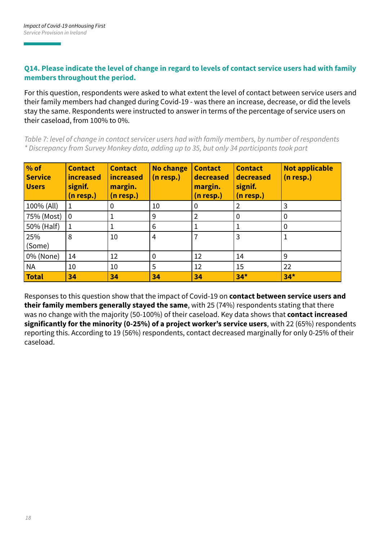#### **Q14. Please indicate the level of change in regard to levels of contact service users had with family members throughout the period.**

For this question, respondents were asked to what extent the level of contact between service users and their family members had changed during Covid-19 - was there an increase, decrease, or did the levels stay the same. Respondents were instructed to answer in terms of the percentage of service users on their caseload, from 100% to 0%.

*Table 7: level of change in contact servicer users had with family members, by number of respondents \* Discrepancy from Survey Monkey data, adding up to 35, but only 34 participants took part*

| $\frac{9}{6}$ of<br><b>Service</b><br><b>Users</b> | <b>Contact</b><br><b>increased</b><br>signif.<br>(n resp.) | <b>Contact</b><br><b>increased</b><br>margin.<br>(n resp.) | <b>No change</b><br>$(n$ resp.) | <b>Contact</b><br>decreased<br>margin.<br>(n resp.) | <b>Contact</b><br>decreased<br>signif.<br>(n resp.) | <b>Not applicable</b><br>$(n$ resp.) |
|----------------------------------------------------|------------------------------------------------------------|------------------------------------------------------------|---------------------------------|-----------------------------------------------------|-----------------------------------------------------|--------------------------------------|
| 100% (All)                                         | 1                                                          | $\mathbf 0$                                                | 10                              | 0                                                   | $\overline{2}$                                      | 3                                    |
| 75% (Most)                                         | l 0                                                        |                                                            | 9                               | $\overline{2}$                                      | $\boldsymbol{0}$                                    | 0                                    |
| 50% (Half)                                         | -1                                                         | 1                                                          | 6                               | 1                                                   |                                                     | 0                                    |
| 25%<br>(Some)                                      | 8                                                          | 10                                                         | 4                               | 7                                                   | 3                                                   | $\mathbf{1}$                         |
| 0% (None)                                          | 14                                                         | 12                                                         | 0                               | 12                                                  | 14                                                  | 9                                    |
| <b>NA</b>                                          | 10                                                         | 10                                                         | 5                               | 12                                                  | 15                                                  | 22                                   |
| <b>Total</b>                                       | 34                                                         | 34                                                         | 34                              | 34                                                  | $34*$                                               | $34*$                                |

Responses to this question show that the impact of Covid-19 on **contact between service users and their family members generally stayed the same**, with 25 (74%) respondents stating that there was no change with the majority (50-100%) of their caseload. Key data shows that **contact increased significantly for the minority (0-25%) of a project worker's service users**, with 22 (65%) respondents reporting this. According to 19 (56%) respondents, contact decreased marginally for only 0-25% of their caseload.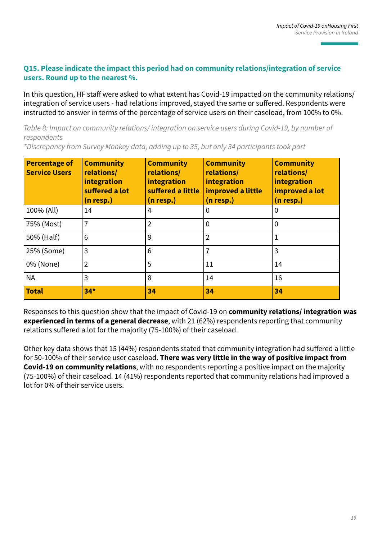#### **Q15. Please indicate the impact this period had on community relations/integration of service users. Round up to the nearest %.**

In this question, HF staff were asked to what extent has Covid-19 impacted on the community relations/ integration of service users - had relations improved, stayed the same or suffered. Respondents were instructed to answer in terms of the percentage of service users on their caseload, from 100% to 0%.

*Table 8: Impact on community relations/ integration on service users during Covid-19, by number of respondents*

| <b>Percentage of</b><br><b>Service Users</b> | <b>Community</b><br>relations/<br>integration<br>suffered a lot<br>(n resp.) | <b>Community</b><br>relations/<br>integration<br>suffered a little<br>$(n$ resp.) | <b>Community</b><br>relations/<br>integration<br>improved a little<br>(n resp.) | <b>Community</b><br>relations/<br>integration<br>improved a lot<br>$(n$ resp.) |
|----------------------------------------------|------------------------------------------------------------------------------|-----------------------------------------------------------------------------------|---------------------------------------------------------------------------------|--------------------------------------------------------------------------------|
| 100% (All)                                   | 14                                                                           | 4                                                                                 | 0                                                                               | 0                                                                              |
| 75% (Most)                                   | 7                                                                            | $\overline{2}$                                                                    | 0                                                                               | 0                                                                              |
| 50% (Half)                                   | 6                                                                            | 9                                                                                 | $\overline{2}$                                                                  | 1                                                                              |
| 25% (Some)                                   | 3                                                                            | 6                                                                                 |                                                                                 | 3                                                                              |
| 0% (None)                                    | $\overline{2}$                                                               | 5                                                                                 | 11                                                                              | 14                                                                             |
| NA                                           | 3                                                                            | 8                                                                                 | 14                                                                              | 16                                                                             |
| <b>Total</b>                                 | $34*$                                                                        | 34                                                                                | 34                                                                              | 34                                                                             |

*\*Discrepancy from Survey Monkey data, adding up to 35, but only 34 participants took part*

Responses to this question show that the impact of Covid-19 on **community relations/ integration was experienced in terms of a general decrease**, with 21 (62%) respondents reporting that community relations suffered a lot for the majority (75-100%) of their caseload.

Other key data shows that 15 (44%) respondents stated that community integration had suffered a little for 50-100% of their service user caseload. **There was very little in the way of positive impact from Covid-19 on community relations**, with no respondents reporting a positive impact on the majority (75-100%) of their caseload. 14 (41%) respondents reported that community relations had improved a lot for 0% of their service users.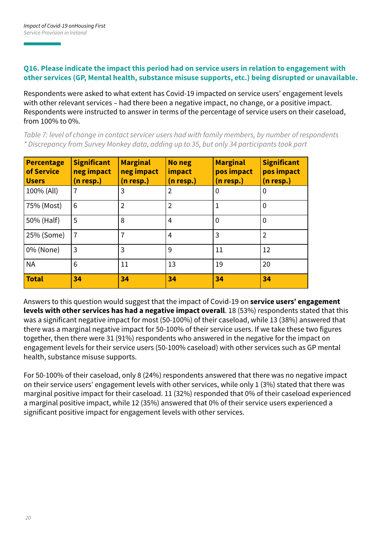#### **Q16. Please indicate the impact this period had on service users in relation to engagement with other services (GP, Mental health, substance misuse supports, etc.) being disrupted or unavailable.**

Respondents were asked to what extent has Covid-19 impacted on service users' engagement levels with other relevant services – had there been a negative impact, no change, or a positive impact. Respondents were instructed to answer in terms of the percentage of service users on their caseload, from 100% to 0%.

*Table 7: level of change in contact servicer users had with family members, by number of respondents \* Discrepancy from Survey Monkey data, adding up to 35, but only 34 participants took part*

| <b>Percentage</b><br>of Service<br><b>Users</b> | <b>Significant</b><br>neg impact<br>n resp.) | <b>Marginal</b><br>neg impact<br>(n resp.) | <b>No neg</b><br>impact<br>(n resp.) | <b>Marginal</b><br>pos impact<br>(n resp.) | <b>Significant</b><br>pos impact<br>(n resp.) |
|-------------------------------------------------|----------------------------------------------|--------------------------------------------|--------------------------------------|--------------------------------------------|-----------------------------------------------|
| 100% (All)                                      | 7                                            | 3                                          | $\overline{2}$                       |                                            | 0                                             |
| 75% (Most)                                      | 6                                            | $\overline{2}$                             | $\overline{2}$                       |                                            | 0                                             |
| 50% (Half)                                      | 5                                            | 8                                          | $\overline{4}$                       | 0                                          | 0                                             |
| 25% (Some)                                      | $\overline{7}$                               | 7                                          | 4                                    | 3                                          | $\overline{2}$                                |
| 0% (None)                                       | 3                                            | 3                                          | 9                                    | 11                                         | 12                                            |
| <b>NA</b>                                       | 6                                            | 11                                         | 13                                   | 19                                         | 20                                            |
| <b>Total</b>                                    | 34                                           | 34                                         | 34                                   | 34                                         | 34                                            |

Answers to this question would suggest that the impact of Covid-19 on **service users' engagement levels with other services has had a negative impact overall**. 18 (53%) respondents stated that this was a significant negative impact for most (50-100%) of their caseload, while 13 (38%) answered that there was a marginal negative impact for 50-100% of their service users. If we take these two figures together, then there were 31 (91%) respondents who answered in the negative for the impact on engagement levels for their service users (50-100% caseload) with other services such as GP mental health, substance misuse supports.

For 50-100% of their caseload, only 8 (24%) respondents answered that there was no negative impact on their service users' engagement levels with other services, while only 1 (3%) stated that there was marginal positive impact for their caseload. 11 (32%) responded that 0% of their caseload experienced a marginal positive impact, while 12 (35%) answered that 0% of their service users experienced a significant positive impact for engagement levels with other services.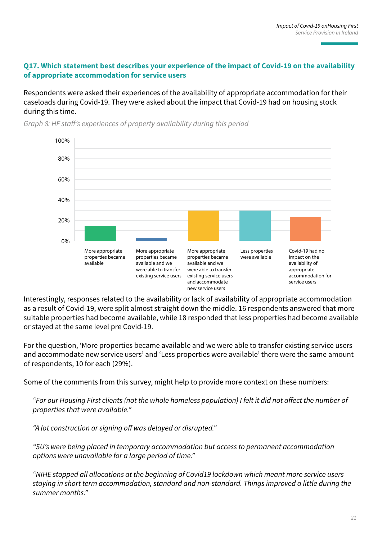#### **Q17. Which statement best describes your experience of the impact of Covid-19 on the availability of appropriate accommodation for service users**

Respondents were asked their experiences of the availability of appropriate accommodation for their caseloads during Covid-19. They were asked about the impact that Covid-19 had on housing stock during this time.



*Graph 8: HF staff's experiences of property availability during this period*

Interestingly, responses related to the availability or lack of availability of appropriate accommodation as a result of Covid-19, were split almost straight down the middle. 16 respondents answered that more suitable properties had become available, while 18 responded that less properties had become available or stayed at the same level pre Covid-19.

For the question, 'More properties became available and we were able to transfer existing service users and accommodate new service users' and 'Less properties were available' there were the same amount of respondents, 10 for each (29%).

Some of the comments from this survey, might help to provide more context on these numbers:

*"For our Housing First clients (not the whole homeless population) I felt it did not affect the number of properties that were available."*

*"A lot construction or signing off was delayed or disrupted."*

*"SU's were being placed in temporary accommodation but access to permanent accommodation options were unavailable for a large period of time."*

*"NIHE stopped all allocations at the beginning of Covid19 lockdown which meant more service users staying in short term accommodation, standard and non-standard. Things improved a little during the summer months."*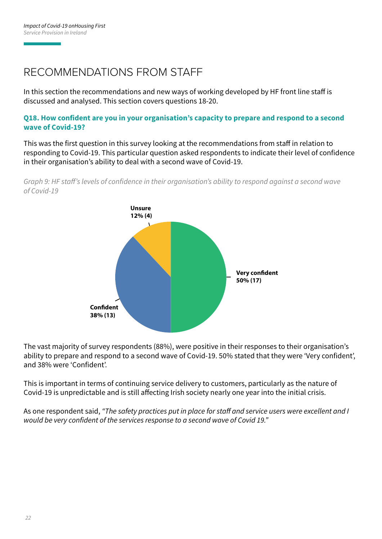### RECOMMENDATIONS FROM STAFF

In this section the recommendations and new ways of working developed by HF front line staff is discussed and analysed. This section covers questions 18-20.

#### **Q18. How confident are you in your organisation's capacity to prepare and respond to a second wave of Covid-19?**

This was the first question in this survey looking at the recommendations from staff in relation to responding to Covid-19. This particular question asked respondents to indicate their level of confidence in their organisation's ability to deal with a second wave of Covid-19.



*Graph 9: HF staff's levels of confidence in their organisation's ability to respond against a second wave of Covid-19*

The vast majority of survey respondents (88%), were positive in their responses to their organisation's ability to prepare and respond to a second wave of Covid-19. 50% stated that they were 'Very confident', and 38% were 'Confident'.

This is important in terms of continuing service delivery to customers, particularly as the nature of Covid-19 is unpredictable and is still affecting Irish society nearly one year into the initial crisis.

As one respondent said, *"The safety practices put in place for staff and service users were excellent and I would be very confident of the services response to a second wave of Covid 19."*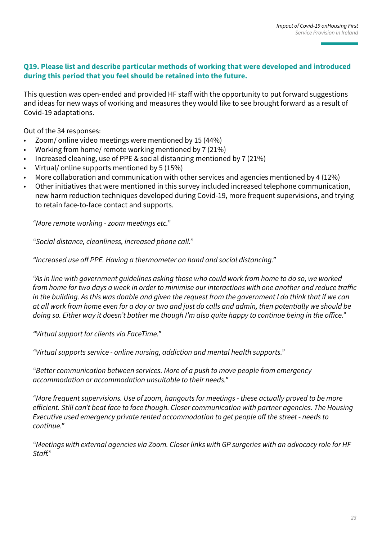#### **Q19. Please list and describe particular methods of working that were developed and introduced during this period that you feel should be retained into the future.**

This question was open-ended and provided HF staff with the opportunity to put forward suggestions and ideas for new ways of working and measures they would like to see brought forward as a result of Covid-19 adaptations.

Out of the 34 responses:

- Zoom/ online video meetings were mentioned by 15 (44%)
- Working from home/ remote working mentioned by 7 (21%)
- Increased cleaning, use of PPE & social distancing mentioned by 7 (21%)
- Virtual/ online supports mentioned by 5 (15%)
- More collaboration and communication with other services and agencies mentioned by 4 (12%)
- Other initiatives that were mentioned in this survey included increased telephone communication, new harm reduction techniques developed during Covid-19, more frequent supervisions, and trying to retain face-to-face contact and supports.

*"More remote working - zoom meetings etc."*

*"Social distance, cleanliness, increased phone call."*

*"Increased use off PPE. Having a thermometer on hand and social distancing."*

*"As in line with government guidelines asking those who could work from home to do so, we worked from home for two days a week in order to minimise our interactions with one another and reduce traffic in the building. As this was doable and given the request from the government I do think that if we can at all work from home even for a day or two and just do calls and admin, then potentially we should be doing so. Either way it doesn't bother me though I'm also quite happy to continue being in the office."*

*"Virtual support for clients via FaceTime."*

*"Virtual supports service - online nursing, addiction and mental health supports."*

*"Better communication between services. More of a push to move people from emergency accommodation or accommodation unsuitable to their needs."*

*"More frequent supervisions. Use of zoom, hangouts for meetings - these actually proved to be more efficient. Still can't beat face to face though. Closer communication with partner agencies. The Housing Executive used emergency private rented accommodation to get people off the street - needs to continue."*

*"Meetings with external agencies via Zoom. Closer links with GP surgeries with an advocacy role for HF Staff."*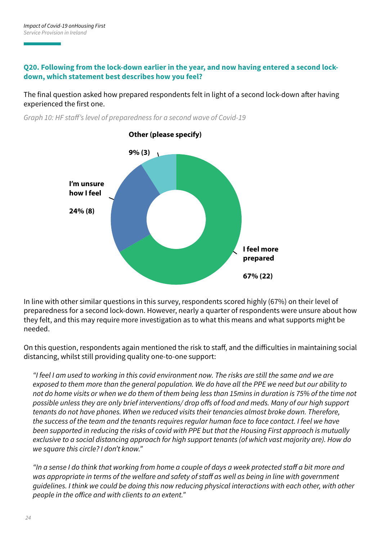#### **Q20. Following from the lock-down earlier in the year, and now having entered a second lockdown, which statement best describes how you feel?**

The final question asked how prepared respondents felt in light of a second lock-down after having experienced the first one.



*Graph 10: HF staff's level of preparedness for a second wave of Covid-19*

In line with other similar questions in this survey, respondents scored highly (67%) on their level of preparedness for a second lock-down. However, nearly a quarter of respondents were unsure about how they felt, and this may require more investigation as to what this means and what supports might be needed.

On this question, respondents again mentioned the risk to staff, and the difficulties in maintaining social distancing, whilst still providing quality one-to-one support:

*"I feel I am used to working in this covid environment now. The risks are still the same and we are exposed to them more than the general population. We do have all the PPE we need but our ability to not do home visits or when we do them of them being less than 15mins in duration is 75% of the time not possible unless they are only brief interventions/ drop offs of food and meds. Many of our high support tenants do not have phones. When we reduced visits their tenancies almost broke down. Therefore, the success of the team and the tenants requires regular human face to face contact. I feel we have been supported in reducing the risks of covid with PPE but that the Housing First approach is mutually exclusive to a social distancing approach for high support tenants (of which vast majority are). How do we square this circle? I don't know."*

*"In a sense I do think that working from home a couple of days a week protected staff a bit more and*  was appropriate in terms of the welfare and safety of staff as well as being in line with government *guidelines. I think we could be doing this now reducing physical interactions with each other, with other people in the office and with clients to an extent."*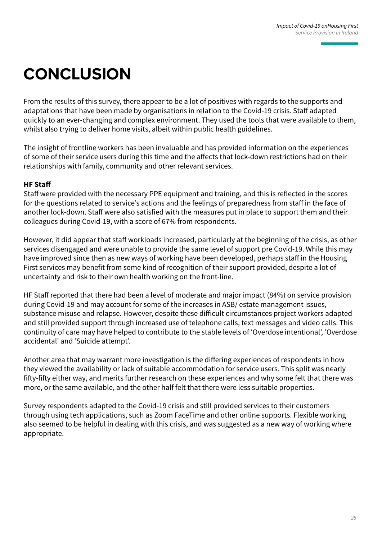# **CONCLUSION**

From the results of this survey, there appear to be a lot of positives with regards to the supports and adaptations that have been made by organisations in relation to the Covid-19 crisis. Staff adapted quickly to an ever-changing and complex environment. They used the tools that were available to them, whilst also trying to deliver home visits, albeit within public health guidelines.

The insight of frontline workers has been invaluable and has provided information on the experiences of some of their service users during this time and the affects that lock-down restrictions had on their relationships with family, community and other relevant services.

#### **HF Staff**

Staff were provided with the necessary PPE equipment and training, and this is reflected in the scores for the questions related to service's actions and the feelings of preparedness from staff in the face of another lock-down. Staff were also satisfied with the measures put in place to support them and their colleagues during Covid-19, with a score of 67% from respondents.

However, it did appear that staff workloads increased, particularly at the beginning of the crisis, as other services disengaged and were unable to provide the same level of support pre Covid-19. While this may have improved since then as new ways of working have been developed, perhaps staff in the Housing First services may benefit from some kind of recognition of their support provided, despite a lot of uncertainty and risk to their own health working on the front-line.

HF Staff reported that there had been a level of moderate and major impact (84%) on service provision during Covid-19 and may account for some of the increases in ASB/ estate management issues, substance misuse and relapse. However, despite these difficult circumstances project workers adapted and still provided support through increased use of telephone calls, text messages and video calls. This continuity of care may have helped to contribute to the stable levels of 'Overdose intentional', 'Overdose accidental' and 'Suicide attempt'.

Another area that may warrant more investigation is the differing experiences of respondents in how they viewed the availability or lack of suitable accommodation for service users. This split was nearly fifty-fifty either way, and merits further research on these experiences and why some felt that there was more, or the same available, and the other half felt that there were less suitable properties.

Survey respondents adapted to the Covid-19 crisis and still provided services to their customers through using tech applications, such as Zoom FaceTime and other online supports. Flexible working also seemed to be helpful in dealing with this crisis, and was suggested as a new way of working where appropriate.